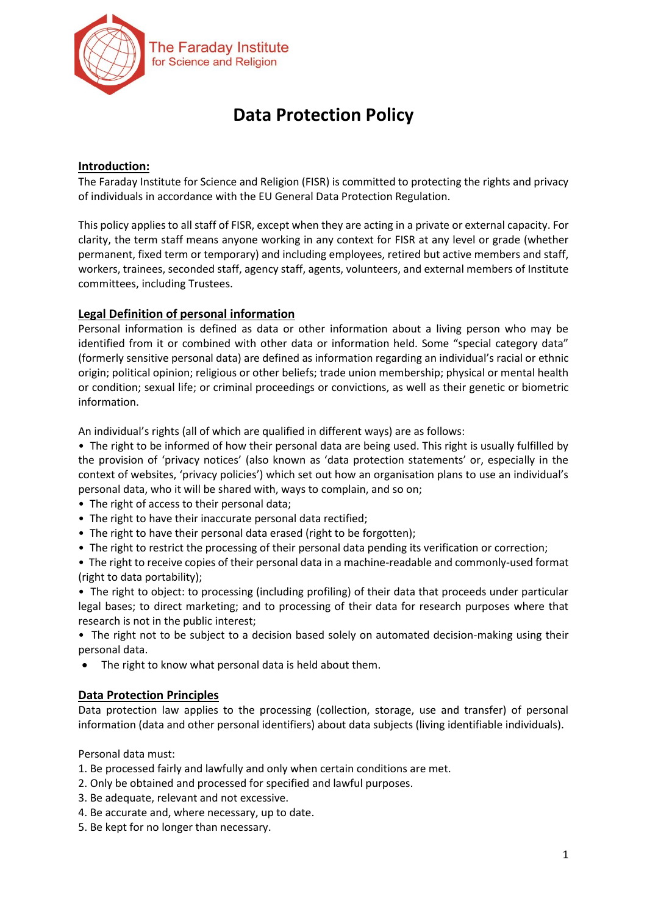

# **Data Protection Policy**

## **Introduction:**

The Faraday Institute for Science and Religion (FISR) is committed to protecting the rights and privacy of individuals in accordance with the EU General Data Protection Regulation.

This policy applies to all staff of FISR, except when they are acting in a private or external capacity. For clarity, the term staff means anyone working in any context for FISR at any level or grade (whether permanent, fixed term or temporary) and including employees, retired but active members and staff, workers, trainees, seconded staff, agency staff, agents, volunteers, and external members of Institute committees, including Trustees.

## **Legal Definition of personal information**

Personal information is defined as data or other information about a living person who may be identified from it or combined with other data or information held. Some "special category data" (formerly sensitive personal data) are defined as information regarding an individual's racial or ethnic origin; political opinion; religious or other beliefs; trade union membership; physical or mental health or condition; sexual life; or criminal proceedings or convictions, as well as their genetic or biometric information.

An individual's rights (all of which are qualified in different ways) are as follows:

• The right to be informed of how their personal data are being used. This right is usually fulfilled by the provision of 'privacy notices' (also known as 'data protection statements' or, especially in the context of websites, 'privacy policies') which set out how an organisation plans to use an individual's personal data, who it will be shared with, ways to complain, and so on;

- The right of access to their personal data;
- The right to have their inaccurate personal data rectified;
- The right to have their personal data erased (right to be forgotten);
- The right to restrict the processing of their personal data pending its verification or correction;

• The right to receive copies of their personal data in a machine-readable and commonly-used format (right to data portability);

• The right to object: to processing (including profiling) of their data that proceeds under particular legal bases; to direct marketing; and to processing of their data for research purposes where that research is not in the public interest;

• The right not to be subject to a decision based solely on automated decision-making using their personal data.

• The right to know what personal data is held about them.

## **Data Protection Principles**

Data protection law applies to the processing (collection, storage, use and transfer) of personal information (data and other personal identifiers) about data subjects (living identifiable individuals).

Personal data must:

- 1. Be processed fairly and lawfully and only when certain conditions are met.
- 2. Only be obtained and processed for specified and lawful purposes.
- 3. Be adequate, relevant and not excessive.
- 4. Be accurate and, where necessary, up to date.
- 5. Be kept for no longer than necessary.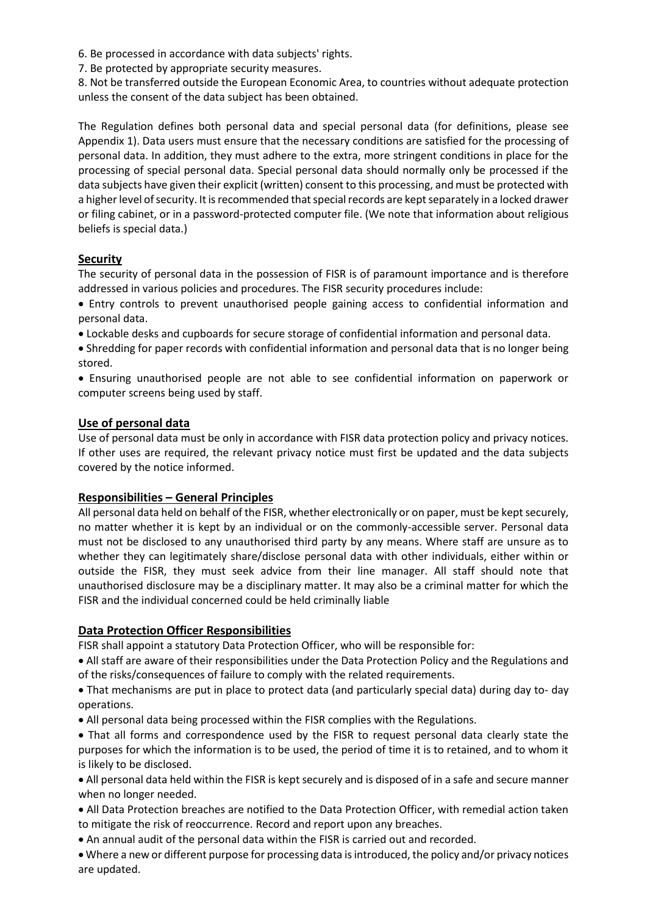6. Be processed in accordance with data subjects' rights.

7. Be protected by appropriate security measures.

8. Not be transferred outside the European Economic Area, to countries without adequate protection unless the consent of the data subject has been obtained.

The Regulation defines both personal data and special personal data (for definitions, please see Appendix 1). Data users must ensure that the necessary conditions are satisfied for the processing of personal data. In addition, they must adhere to the extra, more stringent conditions in place for the processing of special personal data. Special personal data should normally only be processed if the data subjects have given their explicit (written) consent to this processing, and must be protected with a higher level of security. It is recommended that special records are kept separately in a locked drawer or filing cabinet, or in a password-protected computer file. (We note that information about religious beliefs is special data.)

## **Security**

The security of personal data in the possession of FISR is of paramount importance and is therefore addressed in various policies and procedures. The FISR security procedures include:

- Entry controls to prevent unauthorised people gaining access to confidential information and personal data.
- Lockable desks and cupboards for secure storage of confidential information and personal data.
- Shredding for paper records with confidential information and personal data that is no longer being stored.
- Ensuring unauthorised people are not able to see confidential information on paperwork or computer screens being used by staff.

#### **Use of personal data**

Use of personal data must be only in accordance with FISR data protection policy and privacy notices. If other uses are required, the relevant privacy notice must first be updated and the data subjects covered by the notice informed.

#### **Responsibilities – General Principles**

All personal data held on behalf of the FISR, whether electronically or on paper, must be kept securely, no matter whether it is kept by an individual or on the commonly-accessible server. Personal data must not be disclosed to any unauthorised third party by any means. Where staff are unsure as to whether they can legitimately share/disclose personal data with other individuals, either within or outside the FISR, they must seek advice from their line manager. All staff should note that unauthorised disclosure may be a disciplinary matter. It may also be a criminal matter for which the FISR and the individual concerned could be held criminally liable

## **Data Protection Officer Responsibilities**

FISR shall appoint a statutory Data Protection Officer, who will be responsible for:

- All staff are aware of their responsibilities under the Data Protection Policy and the Regulations and of the risks/consequences of failure to comply with the related requirements.
- That mechanisms are put in place to protect data (and particularly special data) during day to- day operations.
- All personal data being processed within the FISR complies with the Regulations.
- That all forms and correspondence used by the FISR to request personal data clearly state the purposes for which the information is to be used, the period of time it is to retained, and to whom it is likely to be disclosed.
- All personal data held within the FISR is kept securely and is disposed of in a safe and secure manner when no longer needed.
- All Data Protection breaches are notified to the Data Protection Officer, with remedial action taken to mitigate the risk of reoccurrence. Record and report upon any breaches.
- An annual audit of the personal data within the FISR is carried out and recorded.
- Where a new or different purpose for processing data is introduced, the policy and/or privacy notices are updated.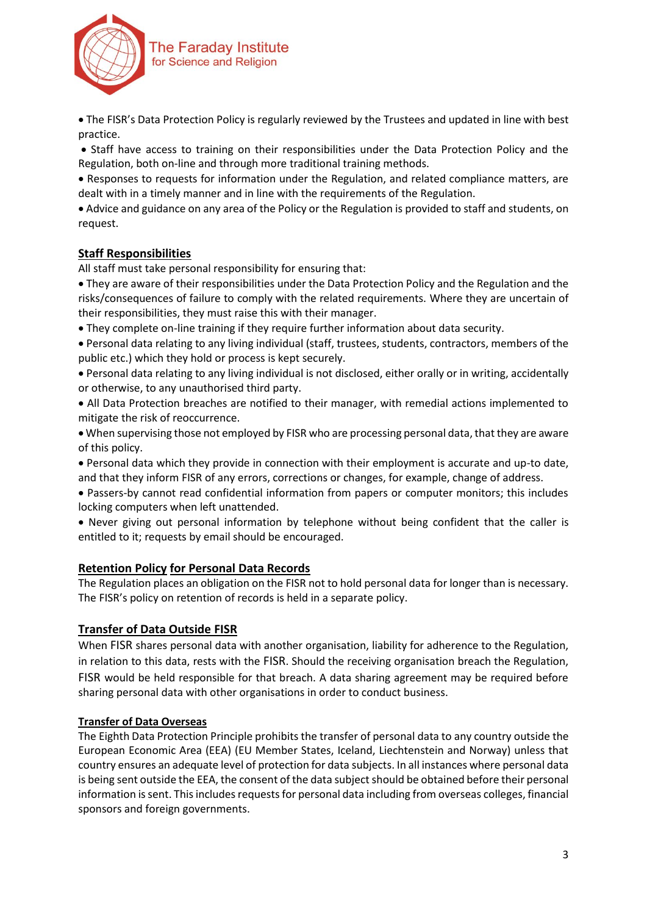

 The FISR's Data Protection Policy is regularly reviewed by the Trustees and updated in line with best practice.

 Staff have access to training on their responsibilities under the Data Protection Policy and the Regulation, both on-line and through more traditional training methods.

 Responses to requests for information under the Regulation, and related compliance matters, are dealt with in a timely manner and in line with the requirements of the Regulation.

 Advice and guidance on any area of the Policy or the Regulation is provided to staff and students, on request.

## **Staff Responsibilities**

All staff must take personal responsibility for ensuring that:

 They are aware of their responsibilities under the Data Protection Policy and the Regulation and the risks/consequences of failure to comply with the related requirements. Where they are uncertain of their responsibilities, they must raise this with their manager.

They complete on-line training if they require further information about data security.

 Personal data relating to any living individual (staff, trustees, students, contractors, members of the public etc.) which they hold or process is kept securely.

 Personal data relating to any living individual is not disclosed, either orally or in writing, accidentally or otherwise, to any unauthorised third party.

 All Data Protection breaches are notified to their manager, with remedial actions implemented to mitigate the risk of reoccurrence.

 When supervising those not employed by FISR who are processing personal data, that they are aware of this policy.

 Personal data which they provide in connection with their employment is accurate and up-to date, and that they inform FISR of any errors, corrections or changes, for example, change of address.

 Passers-by cannot read confidential information from papers or computer monitors; this includes locking computers when left unattended.

 Never giving out personal information by telephone without being confident that the caller is entitled to it; requests by email should be encouraged.

## **Retention Policy for Personal Data Records**

The Regulation places an obligation on the FISR not to hold personal data for longer than is necessary. The FISR's policy on retention of records is held in a separate policy.

## **Transfer of Data Outside FISR**

When FISR shares personal data with another organisation, liability for adherence to the Regulation, in relation to this data, rests with the FISR. Should the receiving organisation breach the Regulation, FISR would be held responsible for that breach. A data sharing agreement may be required before sharing personal data with other organisations in order to conduct business.

## **Transfer of Data Overseas**

The Eighth Data Protection Principle prohibits the transfer of personal data to any country outside the European Economic Area (EEA) (EU Member States, Iceland, Liechtenstein and Norway) unless that country ensures an adequate level of protection for data subjects. In all instances where personal data is being sent outside the EEA, the consent of the data subject should be obtained before their personal information is sent. This includes requests for personal data including from overseas colleges, financial sponsors and foreign governments.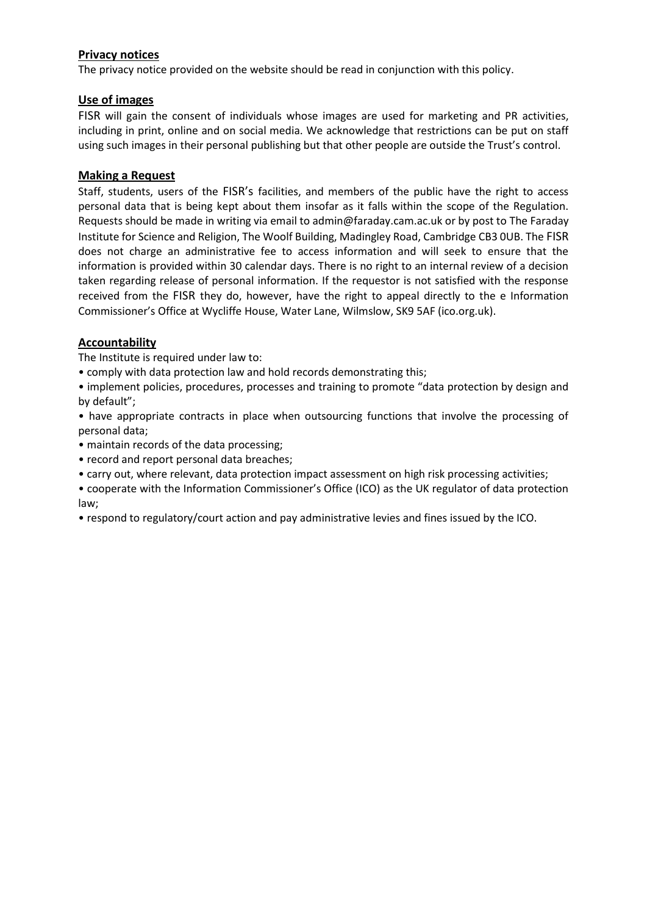## **Privacy notices**

The privacy notice provided on the website should be read in conjunction with this policy.

## **Use of images**

FISR will gain the consent of individuals whose images are used for marketing and PR activities, including in print, online and on social media. We acknowledge that restrictions can be put on staff using such images in their personal publishing but that other people are outside the Trust's control.

## **Making a Request**

Staff, students, users of the FISR's facilities, and members of the public have the right to access personal data that is being kept about them insofar as it falls within the scope of the Regulation. Requests should be made in writing via email to admin@faraday.cam.ac.uk or by post to The Faraday Institute for Science and Religion, The Woolf Building, Madingley Road, Cambridge CB3 0UB. The FISR does not charge an administrative fee to access information and will seek to ensure that the information is provided within 30 calendar days. There is no right to an internal review of a decision taken regarding release of personal information. If the requestor is not satisfied with the response received from the FISR they do, however, have the right to appeal directly to the e Information Commissioner's Office at Wycliffe House, Water Lane, Wilmslow, SK9 5AF (ico.org.uk).

## **Accountability**

The Institute is required under law to:

• comply with data protection law and hold records demonstrating this;

• implement policies, procedures, processes and training to promote "data protection by design and by default";

• have appropriate contracts in place when outsourcing functions that involve the processing of personal data;

- maintain records of the data processing;
- record and report personal data breaches;
- carry out, where relevant, data protection impact assessment on high risk processing activities;
- cooperate with the Information Commissioner's Office (ICO) as the UK regulator of data protection law;
- respond to regulatory/court action and pay administrative levies and fines issued by the ICO.